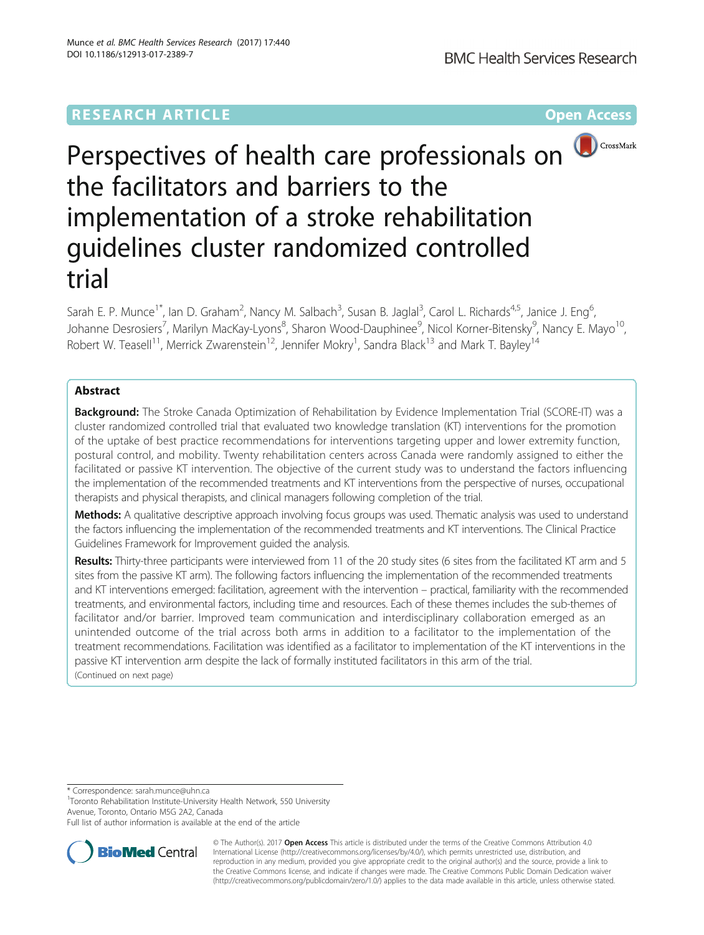# **RESEARCH ARTICLE Example 2014 12:30 The Community Community Community Community Community Community Community**



# Perspectives of health care professionals on the facilitators and barriers to the implementation of a stroke rehabilitation guidelines cluster randomized controlled trial

Sarah E. P. Munce<sup>1\*</sup>, lan D. Graham<sup>2</sup>, Nancy M. Salbach<sup>3</sup>, Susan B. Jaglal<sup>3</sup>, Carol L. Richards<sup>4,5</sup>, Janice J. Eng<sup>6</sup> , Johanne Desrosiers<sup>7</sup>, Marilyn MacKay-Lyons<sup>8</sup>, Sharon Wood-Dauphinee<sup>9</sup>, Nicol Korner-Bitensky<sup>9</sup>, Nancy E. Mayo<sup>10</sup>, Robert W. Teasell<sup>11</sup>, Merrick Zwarenstein<sup>12</sup>, Jennifer Mokry<sup>1</sup>, Sandra Black<sup>13</sup> and Mark T. Bayley<sup>14</sup>

## Abstract

Background: The Stroke Canada Optimization of Rehabilitation by Evidence Implementation Trial (SCORE-IT) was a cluster randomized controlled trial that evaluated two knowledge translation (KT) interventions for the promotion of the uptake of best practice recommendations for interventions targeting upper and lower extremity function, postural control, and mobility. Twenty rehabilitation centers across Canada were randomly assigned to either the facilitated or passive KT intervention. The objective of the current study was to understand the factors influencing the implementation of the recommended treatments and KT interventions from the perspective of nurses, occupational therapists and physical therapists, and clinical managers following completion of the trial.

Methods: A qualitative descriptive approach involving focus groups was used. Thematic analysis was used to understand the factors influencing the implementation of the recommended treatments and KT interventions. The Clinical Practice Guidelines Framework for Improvement guided the analysis.

Results: Thirty-three participants were interviewed from 11 of the 20 study sites (6 sites from the facilitated KT arm and 5 sites from the passive KT arm). The following factors influencing the implementation of the recommended treatments and KT interventions emerged: facilitation, agreement with the intervention – practical, familiarity with the recommended treatments, and environmental factors, including time and resources. Each of these themes includes the sub-themes of facilitator and/or barrier. Improved team communication and interdisciplinary collaboration emerged as an unintended outcome of the trial across both arms in addition to a facilitator to the implementation of the treatment recommendations. Facilitation was identified as a facilitator to implementation of the KT interventions in the passive KT intervention arm despite the lack of formally instituted facilitators in this arm of the trial. (Continued on next page)

\* Correspondence: [sarah.munce@uhn.ca](mailto:sarah.munce@uhn.ca) <sup>1</sup>

Toronto Rehabilitation Institute-University Health Network, 550 University Avenue, Toronto, Ontario M5G 2A2, Canada

Full list of author information is available at the end of the article



© The Author(s). 2017 **Open Access** This article is distributed under the terms of the Creative Commons Attribution 4.0 International License [\(http://creativecommons.org/licenses/by/4.0/](http://creativecommons.org/licenses/by/4.0/)), which permits unrestricted use, distribution, and reproduction in any medium, provided you give appropriate credit to the original author(s) and the source, provide a link to the Creative Commons license, and indicate if changes were made. The Creative Commons Public Domain Dedication waiver [\(http://creativecommons.org/publicdomain/zero/1.0/](http://creativecommons.org/publicdomain/zero/1.0/)) applies to the data made available in this article, unless otherwise stated.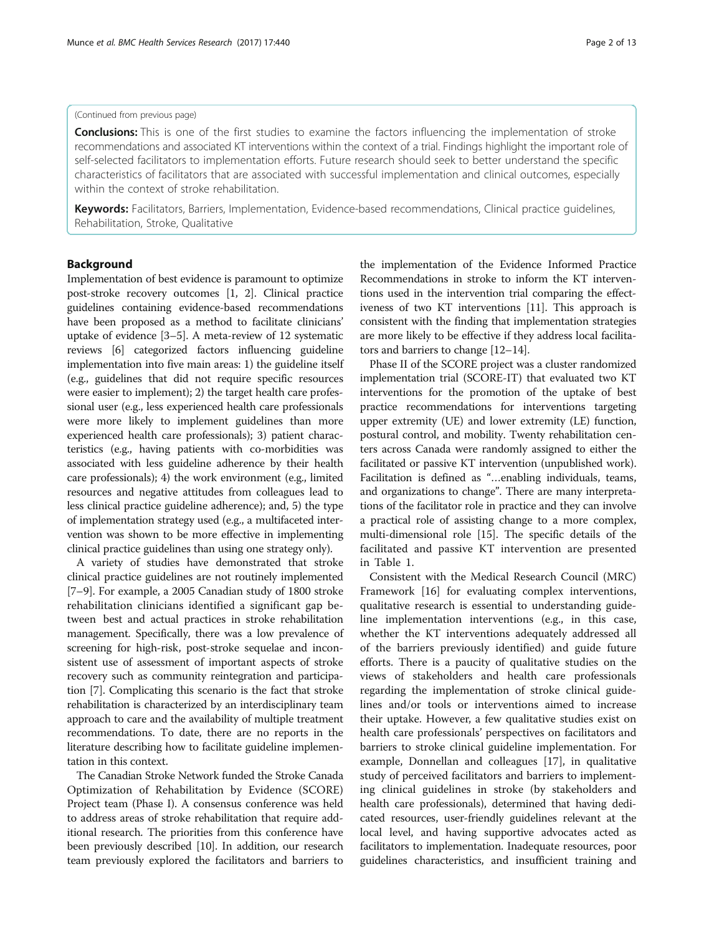#### (Continued from previous page)

Conclusions: This is one of the first studies to examine the factors influencing the implementation of stroke recommendations and associated KT interventions within the context of a trial. Findings highlight the important role of self-selected facilitators to implementation efforts. Future research should seek to better understand the specific characteristics of facilitators that are associated with successful implementation and clinical outcomes, especially within the context of stroke rehabilitation.

Keywords: Facilitators, Barriers, Implementation, Evidence-based recommendations, Clinical practice quidelines, Rehabilitation, Stroke, Qualitative

## Background

Implementation of best evidence is paramount to optimize post-stroke recovery outcomes [\[1](#page-11-0), [2\]](#page-11-0). Clinical practice guidelines containing evidence-based recommendations have been proposed as a method to facilitate clinicians' uptake of evidence [[3](#page-11-0)–[5](#page-11-0)]. A meta-review of 12 systematic reviews [\[6](#page-11-0)] categorized factors influencing guideline implementation into five main areas: 1) the guideline itself (e.g., guidelines that did not require specific resources were easier to implement); 2) the target health care professional user (e.g., less experienced health care professionals were more likely to implement guidelines than more experienced health care professionals); 3) patient characteristics (e.g., having patients with co-morbidities was associated with less guideline adherence by their health care professionals); 4) the work environment (e.g., limited resources and negative attitudes from colleagues lead to less clinical practice guideline adherence); and, 5) the type of implementation strategy used (e.g., a multifaceted intervention was shown to be more effective in implementing clinical practice guidelines than using one strategy only).

A variety of studies have demonstrated that stroke clinical practice guidelines are not routinely implemented [[7](#page-11-0)–[9](#page-11-0)]. For example, a 2005 Canadian study of 1800 stroke rehabilitation clinicians identified a significant gap between best and actual practices in stroke rehabilitation management. Specifically, there was a low prevalence of screening for high-risk, post-stroke sequelae and inconsistent use of assessment of important aspects of stroke recovery such as community reintegration and participation [\[7\]](#page-11-0). Complicating this scenario is the fact that stroke rehabilitation is characterized by an interdisciplinary team approach to care and the availability of multiple treatment recommendations. To date, there are no reports in the literature describing how to facilitate guideline implementation in this context.

The Canadian Stroke Network funded the Stroke Canada Optimization of Rehabilitation by Evidence (SCORE) Project team (Phase I). A consensus conference was held to address areas of stroke rehabilitation that require additional research. The priorities from this conference have been previously described [\[10\]](#page-11-0). In addition, our research team previously explored the facilitators and barriers to

the implementation of the Evidence Informed Practice Recommendations in stroke to inform the KT interventions used in the intervention trial comparing the effectiveness of two KT interventions [\[11](#page-11-0)]. This approach is consistent with the finding that implementation strategies are more likely to be effective if they address local facilitators and barriers to change [\[12](#page-11-0)–[14](#page-11-0)].

Phase II of the SCORE project was a cluster randomized implementation trial (SCORE-IT) that evaluated two KT interventions for the promotion of the uptake of best practice recommendations for interventions targeting upper extremity (UE) and lower extremity (LE) function, postural control, and mobility. Twenty rehabilitation centers across Canada were randomly assigned to either the facilitated or passive KT intervention (unpublished work). Facilitation is defined as "…enabling individuals, teams, and organizations to change". There are many interpretations of the facilitator role in practice and they can involve a practical role of assisting change to a more complex, multi-dimensional role [[15](#page-11-0)]. The specific details of the facilitated and passive KT intervention are presented in Table [1](#page-2-0).

Consistent with the Medical Research Council (MRC) Framework [[16](#page-11-0)] for evaluating complex interventions, qualitative research is essential to understanding guideline implementation interventions (e.g., in this case, whether the KT interventions adequately addressed all of the barriers previously identified) and guide future efforts. There is a paucity of qualitative studies on the views of stakeholders and health care professionals regarding the implementation of stroke clinical guidelines and/or tools or interventions aimed to increase their uptake. However, a few qualitative studies exist on health care professionals' perspectives on facilitators and barriers to stroke clinical guideline implementation. For example, Donnellan and colleagues [\[17\]](#page-11-0), in qualitative study of perceived facilitators and barriers to implementing clinical guidelines in stroke (by stakeholders and health care professionals), determined that having dedicated resources, user-friendly guidelines relevant at the local level, and having supportive advocates acted as facilitators to implementation. Inadequate resources, poor guidelines characteristics, and insufficient training and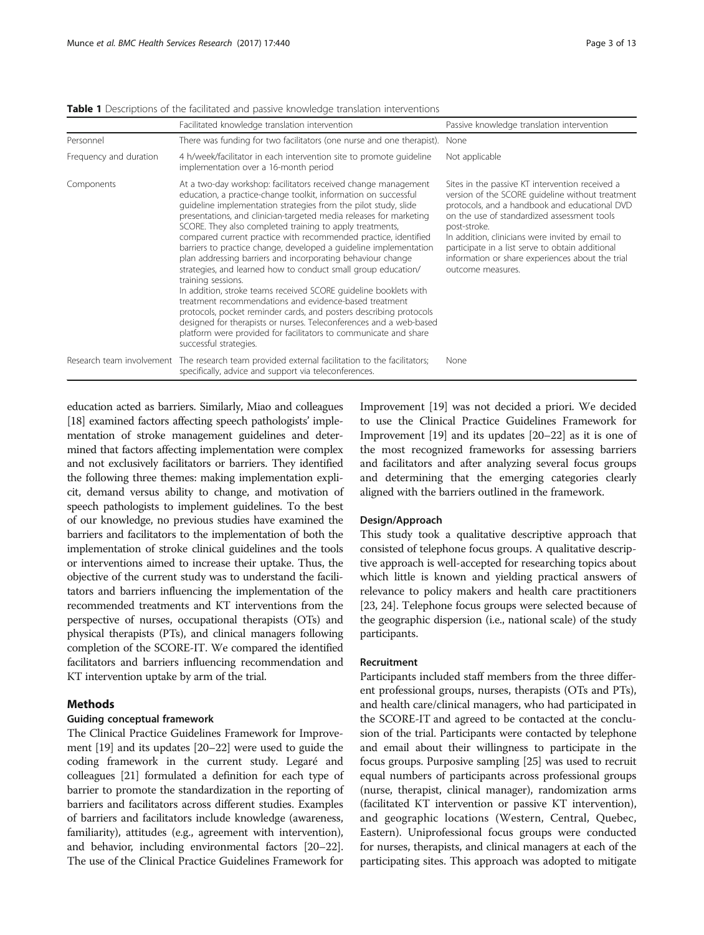<span id="page-2-0"></span>

|  |  | <b>Table 1</b> Descriptions of the facilitated and passive knowledge translation interventions |
|--|--|------------------------------------------------------------------------------------------------|
|  |  |                                                                                                |

|                        | Facilitated knowledge translation intervention                                                                                                                                                                                                                                                                                                                                                                                                                                                                                                                                                                                                                                                                                                                                                                                                                                                                                                                                                               | Passive knowledge translation intervention                                                                                                                                                                                                                                                                                                                                                           |
|------------------------|--------------------------------------------------------------------------------------------------------------------------------------------------------------------------------------------------------------------------------------------------------------------------------------------------------------------------------------------------------------------------------------------------------------------------------------------------------------------------------------------------------------------------------------------------------------------------------------------------------------------------------------------------------------------------------------------------------------------------------------------------------------------------------------------------------------------------------------------------------------------------------------------------------------------------------------------------------------------------------------------------------------|------------------------------------------------------------------------------------------------------------------------------------------------------------------------------------------------------------------------------------------------------------------------------------------------------------------------------------------------------------------------------------------------------|
| Personnel              | There was funding for two facilitators (one nurse and one therapist).                                                                                                                                                                                                                                                                                                                                                                                                                                                                                                                                                                                                                                                                                                                                                                                                                                                                                                                                        | None                                                                                                                                                                                                                                                                                                                                                                                                 |
| Frequency and duration | 4 h/week/facilitator in each intervention site to promote guideline<br>implementation over a 16-month period                                                                                                                                                                                                                                                                                                                                                                                                                                                                                                                                                                                                                                                                                                                                                                                                                                                                                                 | Not applicable                                                                                                                                                                                                                                                                                                                                                                                       |
| Components             | At a two-day workshop: facilitators received change management<br>education, a practice-change toolkit, information on successful<br>quideline implementation strategies from the pilot study, slide<br>presentations, and clinician-targeted media releases for marketing<br>SCORE. They also completed training to apply treatments,<br>compared current practice with recommended practice, identified<br>barriers to practice change, developed a quideline implementation<br>plan addressing barriers and incorporating behaviour change<br>strategies, and learned how to conduct small group education/<br>training sessions.<br>In addition, stroke teams received SCORE quideline booklets with<br>treatment recommendations and evidence-based treatment<br>protocols, pocket reminder cards, and posters describing protocols<br>designed for therapists or nurses. Teleconferences and a web-based<br>platform were provided for facilitators to communicate and share<br>successful strategies. | Sites in the passive KT intervention received a<br>version of the SCORE quideline without treatment<br>protocols, and a handbook and educational DVD<br>on the use of standardized assessment tools<br>post-stroke.<br>In addition, clinicians were invited by email to<br>participate in a list serve to obtain additional<br>information or share experiences about the trial<br>outcome measures. |
|                        | Research team involvement The research team provided external facilitation to the facilitators;<br>specifically, advice and support via teleconferences.                                                                                                                                                                                                                                                                                                                                                                                                                                                                                                                                                                                                                                                                                                                                                                                                                                                     | None                                                                                                                                                                                                                                                                                                                                                                                                 |

education acted as barriers. Similarly, Miao and colleagues [[18](#page-11-0)] examined factors affecting speech pathologists' implementation of stroke management guidelines and determined that factors affecting implementation were complex and not exclusively facilitators or barriers. They identified the following three themes: making implementation explicit, demand versus ability to change, and motivation of speech pathologists to implement guidelines. To the best of our knowledge, no previous studies have examined the barriers and facilitators to the implementation of both the implementation of stroke clinical guidelines and the tools or interventions aimed to increase their uptake. Thus, the objective of the current study was to understand the facilitators and barriers influencing the implementation of the recommended treatments and KT interventions from the perspective of nurses, occupational therapists (OTs) and physical therapists (PTs), and clinical managers following completion of the SCORE-IT. We compared the identified facilitators and barriers influencing recommendation and KT intervention uptake by arm of the trial.

## Methods

#### Guiding conceptual framework

The Clinical Practice Guidelines Framework for Improvement [[19](#page-11-0)] and its updates [[20](#page-11-0)–[22](#page-11-0)] were used to guide the coding framework in the current study. Legaré and colleagues [\[21\]](#page-11-0) formulated a definition for each type of barrier to promote the standardization in the reporting of barriers and facilitators across different studies. Examples of barriers and facilitators include knowledge (awareness, familiarity), attitudes (e.g., agreement with intervention), and behavior, including environmental factors [\[20](#page-11-0)–[22](#page-11-0)]. The use of the Clinical Practice Guidelines Framework for Improvement [\[19\]](#page-11-0) was not decided a priori. We decided to use the Clinical Practice Guidelines Framework for Improvement [[19](#page-11-0)] and its updates [[20](#page-11-0)–[22\]](#page-11-0) as it is one of the most recognized frameworks for assessing barriers and facilitators and after analyzing several focus groups and determining that the emerging categories clearly aligned with the barriers outlined in the framework.

#### Design/Approach

This study took a qualitative descriptive approach that consisted of telephone focus groups. A qualitative descriptive approach is well-accepted for researching topics about which little is known and yielding practical answers of relevance to policy makers and health care practitioners [[23](#page-11-0), [24](#page-11-0)]. Telephone focus groups were selected because of the geographic dispersion (i.e., national scale) of the study participants.

#### Recruitment

Participants included staff members from the three different professional groups, nurses, therapists (OTs and PTs), and health care/clinical managers, who had participated in the SCORE-IT and agreed to be contacted at the conclusion of the trial. Participants were contacted by telephone and email about their willingness to participate in the focus groups. Purposive sampling [[25](#page-11-0)] was used to recruit equal numbers of participants across professional groups (nurse, therapist, clinical manager), randomization arms (facilitated KT intervention or passive KT intervention), and geographic locations (Western, Central, Quebec, Eastern). Uniprofessional focus groups were conducted for nurses, therapists, and clinical managers at each of the participating sites. This approach was adopted to mitigate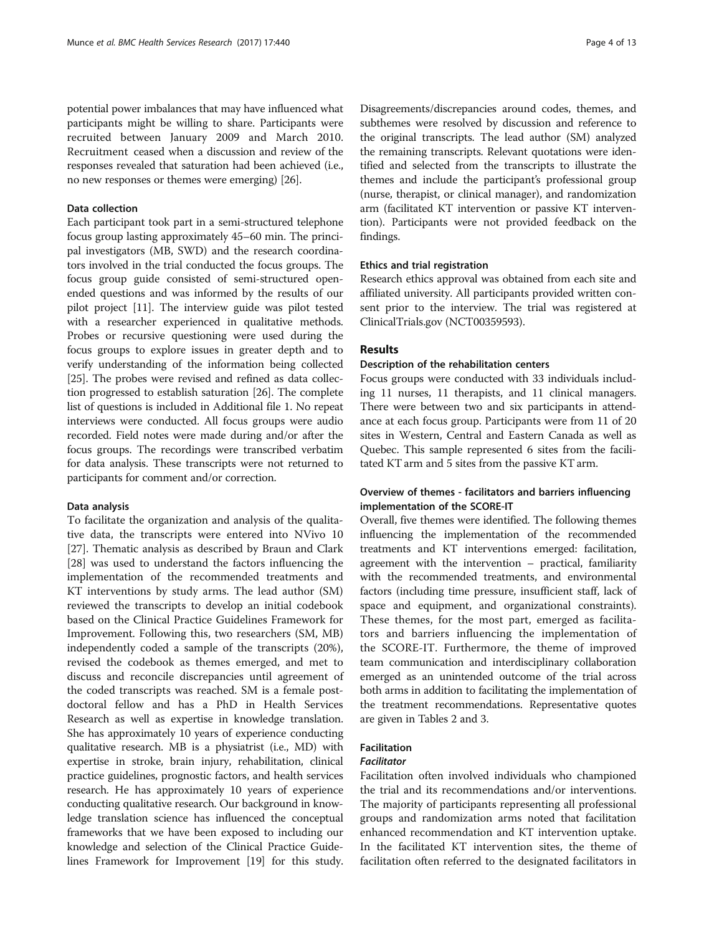potential power imbalances that may have influenced what participants might be willing to share. Participants were recruited between January 2009 and March 2010. Recruitment ceased when a discussion and review of the responses revealed that saturation had been achieved (i.e., no new responses or themes were emerging) [\[26](#page-11-0)].

#### Data collection

Each participant took part in a semi-structured telephone focus group lasting approximately 45–60 min. The principal investigators (MB, SWD) and the research coordinators involved in the trial conducted the focus groups. The focus group guide consisted of semi-structured openended questions and was informed by the results of our pilot project [\[11](#page-11-0)]. The interview guide was pilot tested with a researcher experienced in qualitative methods. Probes or recursive questioning were used during the focus groups to explore issues in greater depth and to verify understanding of the information being collected [[25](#page-11-0)]. The probes were revised and refined as data collection progressed to establish saturation [[26](#page-11-0)]. The complete list of questions is included in Additional file [1](#page-10-0). No repeat interviews were conducted. All focus groups were audio recorded. Field notes were made during and/or after the focus groups. The recordings were transcribed verbatim for data analysis. These transcripts were not returned to participants for comment and/or correction.

#### Data analysis

To facilitate the organization and analysis of the qualitative data, the transcripts were entered into NVivo 10 [[27\]](#page-11-0). Thematic analysis as described by Braun and Clark [[28\]](#page-11-0) was used to understand the factors influencing the implementation of the recommended treatments and KT interventions by study arms. The lead author (SM) reviewed the transcripts to develop an initial codebook based on the Clinical Practice Guidelines Framework for Improvement. Following this, two researchers (SM, MB) independently coded a sample of the transcripts (20%), revised the codebook as themes emerged, and met to discuss and reconcile discrepancies until agreement of the coded transcripts was reached. SM is a female postdoctoral fellow and has a PhD in Health Services Research as well as expertise in knowledge translation. She has approximately 10 years of experience conducting qualitative research. MB is a physiatrist (i.e., MD) with expertise in stroke, brain injury, rehabilitation, clinical practice guidelines, prognostic factors, and health services research. He has approximately 10 years of experience conducting qualitative research. Our background in knowledge translation science has influenced the conceptual frameworks that we have been exposed to including our knowledge and selection of the Clinical Practice Guidelines Framework for Improvement [[19](#page-11-0)] for this study.

Disagreements/discrepancies around codes, themes, and subthemes were resolved by discussion and reference to the original transcripts. The lead author (SM) analyzed the remaining transcripts. Relevant quotations were identified and selected from the transcripts to illustrate the themes and include the participant's professional group (nurse, therapist, or clinical manager), and randomization arm (facilitated KT intervention or passive KT interven-

### Ethics and trial registration

Research ethics approval was obtained from each site and affiliated university. All participants provided written consent prior to the interview. The trial was registered at [ClinicalTrials.gov](https://clinicaltrials.gov/) (NCT00359593).

tion). Participants were not provided feedback on the

#### Results

findings.

#### Description of the rehabilitation centers

Focus groups were conducted with 33 individuals including 11 nurses, 11 therapists, and 11 clinical managers. There were between two and six participants in attendance at each focus group. Participants were from 11 of 20 sites in Western, Central and Eastern Canada as well as Quebec. This sample represented 6 sites from the facilitated KT arm and 5 sites from the passive KT arm.

## Overview of themes - facilitators and barriers influencing implementation of the SCORE-IT

Overall, five themes were identified. The following themes influencing the implementation of the recommended treatments and KT interventions emerged: facilitation, agreement with the intervention – practical, familiarity with the recommended treatments, and environmental factors (including time pressure, insufficient staff, lack of space and equipment, and organizational constraints). These themes, for the most part, emerged as facilitators and barriers influencing the implementation of the SCORE-IT. Furthermore, the theme of improved team communication and interdisciplinary collaboration emerged as an unintended outcome of the trial across both arms in addition to facilitating the implementation of the treatment recommendations. Representative quotes are given in Tables [2](#page-4-0) and [3](#page-5-0).

#### Facilitation

## Facilitator

Facilitation often involved individuals who championed the trial and its recommendations and/or interventions. The majority of participants representing all professional groups and randomization arms noted that facilitation enhanced recommendation and KT intervention uptake. In the facilitated KT intervention sites, the theme of facilitation often referred to the designated facilitators in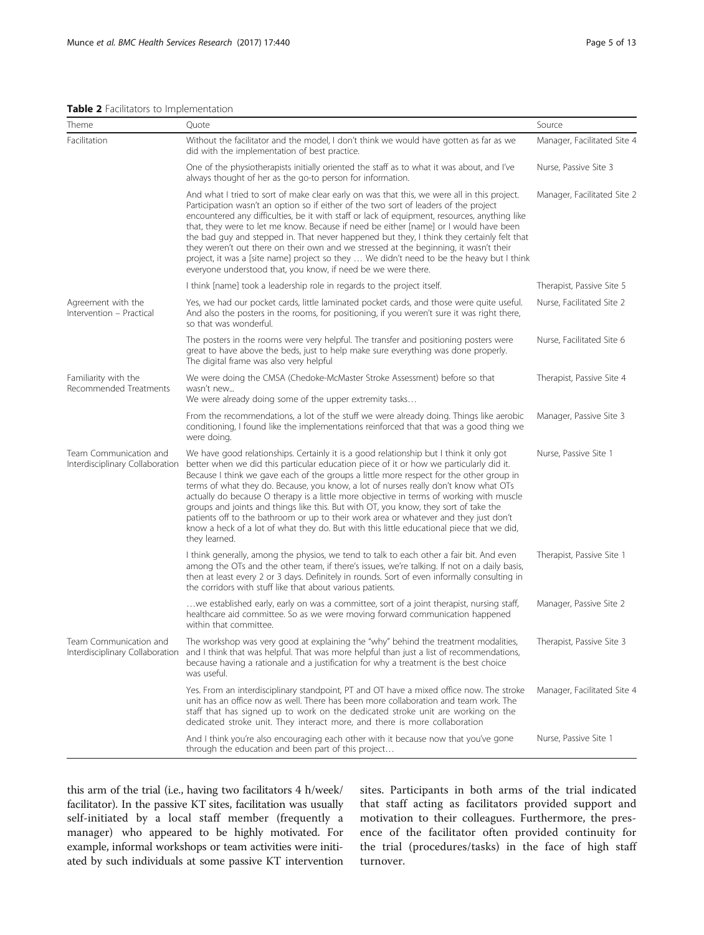## <span id="page-4-0"></span>Table 2 Facilitators to Implementation

| Theme                                                     | Quote                                                                                                                                                                                                                                                                                                                                                                                                                                                                                                                                                                                                                                                                                                                                                            | Source                      |
|-----------------------------------------------------------|------------------------------------------------------------------------------------------------------------------------------------------------------------------------------------------------------------------------------------------------------------------------------------------------------------------------------------------------------------------------------------------------------------------------------------------------------------------------------------------------------------------------------------------------------------------------------------------------------------------------------------------------------------------------------------------------------------------------------------------------------------------|-----------------------------|
| Facilitation                                              | Without the facilitator and the model, I don't think we would have gotten as far as we<br>did with the implementation of best practice.                                                                                                                                                                                                                                                                                                                                                                                                                                                                                                                                                                                                                          | Manager, Facilitated Site 4 |
|                                                           | One of the physiotherapists initially oriented the staff as to what it was about, and I've<br>always thought of her as the go-to person for information.                                                                                                                                                                                                                                                                                                                                                                                                                                                                                                                                                                                                         | Nurse, Passive Site 3       |
|                                                           | And what I tried to sort of make clear early on was that this, we were all in this project.<br>Participation wasn't an option so if either of the two sort of leaders of the project<br>encountered any difficulties, be it with staff or lack of equipment, resources, anything like<br>that, they were to let me know. Because if need be either [name] or I would have been<br>the bad guy and stepped in. That never happened but they, I think they certainly felt that<br>they weren't out there on their own and we stressed at the beginning, it wasn't their<br>project, it was a [site name] project so they  We didn't need to be the heavy but I think<br>everyone understood that, you know, if need be we were there.                              | Manager, Facilitated Site 2 |
|                                                           | I think [name] took a leadership role in regards to the project itself.                                                                                                                                                                                                                                                                                                                                                                                                                                                                                                                                                                                                                                                                                          | Therapist, Passive Site 5   |
| Agreement with the<br>Intervention - Practical            | Yes, we had our pocket cards, little laminated pocket cards, and those were quite useful.<br>And also the posters in the rooms, for positioning, if you weren't sure it was right there,<br>so that was wonderful.                                                                                                                                                                                                                                                                                                                                                                                                                                                                                                                                               | Nurse, Facilitated Site 2   |
|                                                           | The posters in the rooms were very helpful. The transfer and positioning posters were<br>great to have above the beds, just to help make sure everything was done properly.<br>The digital frame was also very helpful                                                                                                                                                                                                                                                                                                                                                                                                                                                                                                                                           | Nurse, Facilitated Site 6   |
| Familiarity with the<br>Recommended Treatments            | We were doing the CMSA (Chedoke-McMaster Stroke Assessment) before so that<br>wasn't new<br>We were already doing some of the upper extremity tasks                                                                                                                                                                                                                                                                                                                                                                                                                                                                                                                                                                                                              | Therapist, Passive Site 4   |
|                                                           | From the recommendations, a lot of the stuff we were already doing. Things like aerobic<br>conditioning, I found like the implementations reinforced that that was a good thing we<br>were doing.                                                                                                                                                                                                                                                                                                                                                                                                                                                                                                                                                                | Manager, Passive Site 3     |
| Team Communication and<br>Interdisciplinary Collaboration | We have good relationships. Certainly it is a good relationship but I think it only got<br>better when we did this particular education piece of it or how we particularly did it.<br>Because I think we gave each of the groups a little more respect for the other group in<br>terms of what they do. Because, you know, a lot of nurses really don't know what OTs<br>actually do because O therapy is a little more objective in terms of working with muscle<br>groups and joints and things like this. But with OT, you know, they sort of take the<br>patients off to the bathroom or up to their work area or whatever and they just don't<br>know a heck of a lot of what they do. But with this little educational piece that we did,<br>they learned. | Nurse, Passive Site 1       |
|                                                           | I think generally, among the physios, we tend to talk to each other a fair bit. And even<br>among the OTs and the other team, if there's issues, we're talking. If not on a daily basis,<br>then at least every 2 or 3 days. Definitely in rounds. Sort of even informally consulting in<br>the corridors with stuff like that about various patients.                                                                                                                                                                                                                                                                                                                                                                                                           | Therapist, Passive Site 1   |
|                                                           | we established early, early on was a committee, sort of a joint therapist, nursing staff,<br>healthcare aid committee. So as we were moving forward communication happened<br>within that committee.                                                                                                                                                                                                                                                                                                                                                                                                                                                                                                                                                             | Manager, Passive Site 2     |
| Team Communication and                                    | The workshop was very good at explaining the "why" behind the treatment modalities,<br>Interdisciplinary Collaboration and I think that was helpful. That was more helpful than just a list of recommendations,<br>because having a rationale and a justification for why a treatment is the best choice<br>was useful.                                                                                                                                                                                                                                                                                                                                                                                                                                          | Therapist, Passive Site 3   |
|                                                           | Yes. From an interdisciplinary standpoint, PT and OT have a mixed office now. The stroke<br>unit has an office now as well. There has been more collaboration and team work. The<br>staff that has signed up to work on the dedicated stroke unit are working on the<br>dedicated stroke unit. They interact more, and there is more collaboration                                                                                                                                                                                                                                                                                                                                                                                                               | Manager, Facilitated Site 4 |
|                                                           | And I think you're also encouraging each other with it because now that you've gone<br>through the education and been part of this project                                                                                                                                                                                                                                                                                                                                                                                                                                                                                                                                                                                                                       | Nurse, Passive Site 1       |

this arm of the trial (i.e., having two facilitators 4 h/week/ facilitator). In the passive KT sites, facilitation was usually self-initiated by a local staff member (frequently a manager) who appeared to be highly motivated. For example, informal workshops or team activities were initiated by such individuals at some passive KT intervention sites. Participants in both arms of the trial indicated that staff acting as facilitators provided support and motivation to their colleagues. Furthermore, the presence of the facilitator often provided continuity for the trial (procedures/tasks) in the face of high staff turnover.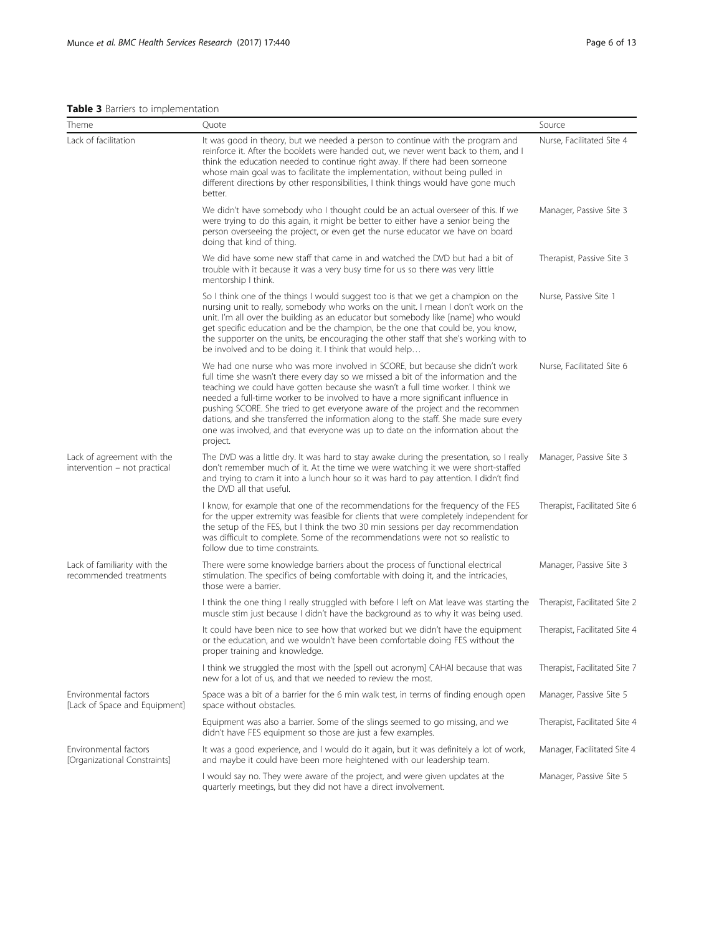## <span id="page-5-0"></span>Table 3 Barriers to implementation

| Theme                                                      | Quote                                                                                                                                                                                                                                                                                                                                                                                                                                                                                                                                                                                                              | Source                        |
|------------------------------------------------------------|--------------------------------------------------------------------------------------------------------------------------------------------------------------------------------------------------------------------------------------------------------------------------------------------------------------------------------------------------------------------------------------------------------------------------------------------------------------------------------------------------------------------------------------------------------------------------------------------------------------------|-------------------------------|
| Lack of facilitation                                       | It was good in theory, but we needed a person to continue with the program and<br>reinforce it. After the booklets were handed out, we never went back to them, and I<br>think the education needed to continue right away. If there had been someone<br>whose main goal was to facilitate the implementation, without being pulled in<br>different directions by other responsibilities, I think things would have gone much<br>better.                                                                                                                                                                           | Nurse, Facilitated Site 4     |
|                                                            | We didn't have somebody who I thought could be an actual overseer of this. If we<br>were trying to do this again, it might be better to either have a senior being the<br>person overseeing the project, or even get the nurse educator we have on board<br>doing that kind of thing.                                                                                                                                                                                                                                                                                                                              | Manager, Passive Site 3       |
|                                                            | We did have some new staff that came in and watched the DVD but had a bit of<br>trouble with it because it was a very busy time for us so there was very little<br>mentorship I think.                                                                                                                                                                                                                                                                                                                                                                                                                             | Therapist, Passive Site 3     |
|                                                            | So I think one of the things I would suggest too is that we get a champion on the<br>nursing unit to really, somebody who works on the unit. I mean I don't work on the<br>unit. I'm all over the building as an educator but somebody like [name] who would<br>get specific education and be the champion, be the one that could be, you know,<br>the supporter on the units, be encouraging the other staff that she's working with to<br>be involved and to be doing it. I think that would help                                                                                                                | Nurse, Passive Site 1         |
|                                                            | We had one nurse who was more involved in SCORE, but because she didn't work<br>full time she wasn't there every day so we missed a bit of the information and the<br>teaching we could have gotten because she wasn't a full time worker. I think we<br>needed a full-time worker to be involved to have a more significant influence in<br>pushing SCORE. She tried to get everyone aware of the project and the recommen<br>dations, and she transferred the information along to the staff. She made sure every<br>one was involved, and that everyone was up to date on the information about the<br>project. | Nurse, Facilitated Site 6     |
| Lack of agreement with the<br>intervention - not practical | The DVD was a little dry. It was hard to stay awake during the presentation, so I really<br>don't remember much of it. At the time we were watching it we were short-staffed<br>and trying to cram it into a lunch hour so it was hard to pay attention. I didn't find<br>the DVD all that useful.                                                                                                                                                                                                                                                                                                                 | Manager, Passive Site 3       |
|                                                            | I know, for example that one of the recommendations for the frequency of the FES<br>for the upper extremity was feasible for clients that were completely independent for<br>the setup of the FES, but I think the two 30 min sessions per day recommendation<br>was difficult to complete. Some of the recommendations were not so realistic to<br>follow due to time constraints.                                                                                                                                                                                                                                | Therapist, Facilitated Site 6 |
| Lack of familiarity with the<br>recommended treatments     | There were some knowledge barriers about the process of functional electrical<br>stimulation. The specifics of being comfortable with doing it, and the intricacies,<br>those were a barrier.                                                                                                                                                                                                                                                                                                                                                                                                                      | Manager, Passive Site 3       |
|                                                            | I think the one thing I really struggled with before I left on Mat leave was starting the<br>muscle stim just because I didn't have the background as to why it was being used.                                                                                                                                                                                                                                                                                                                                                                                                                                    | Therapist, Facilitated Site 2 |
|                                                            | It could have been nice to see how that worked but we didn't have the equipment<br>or the education, and we wouldn't have been comfortable doing FES without the<br>proper training and knowledge.                                                                                                                                                                                                                                                                                                                                                                                                                 | Therapist, Facilitated Site 4 |
|                                                            | I think we struggled the most with the [spell out acronym] CAHAI because that was<br>new for a lot of us, and that we needed to review the most.                                                                                                                                                                                                                                                                                                                                                                                                                                                                   | Therapist, Facilitated Site 7 |
| Environmental factors<br>[Lack of Space and Equipment]     | Space was a bit of a barrier for the 6 min walk test, in terms of finding enough open<br>space without obstacles.                                                                                                                                                                                                                                                                                                                                                                                                                                                                                                  | Manager, Passive Site 5       |
|                                                            | Equipment was also a barrier. Some of the slings seemed to go missing, and we<br>didn't have FES equipment so those are just a few examples.                                                                                                                                                                                                                                                                                                                                                                                                                                                                       | Therapist, Facilitated Site 4 |
| Environmental factors<br>[Organizational Constraints]      | It was a good experience, and I would do it again, but it was definitely a lot of work,<br>and maybe it could have been more heightened with our leadership team.                                                                                                                                                                                                                                                                                                                                                                                                                                                  | Manager, Facilitated Site 4   |
|                                                            | I would say no. They were aware of the project, and were given updates at the<br>quarterly meetings, but they did not have a direct involvement.                                                                                                                                                                                                                                                                                                                                                                                                                                                                   | Manager, Passive Site 5       |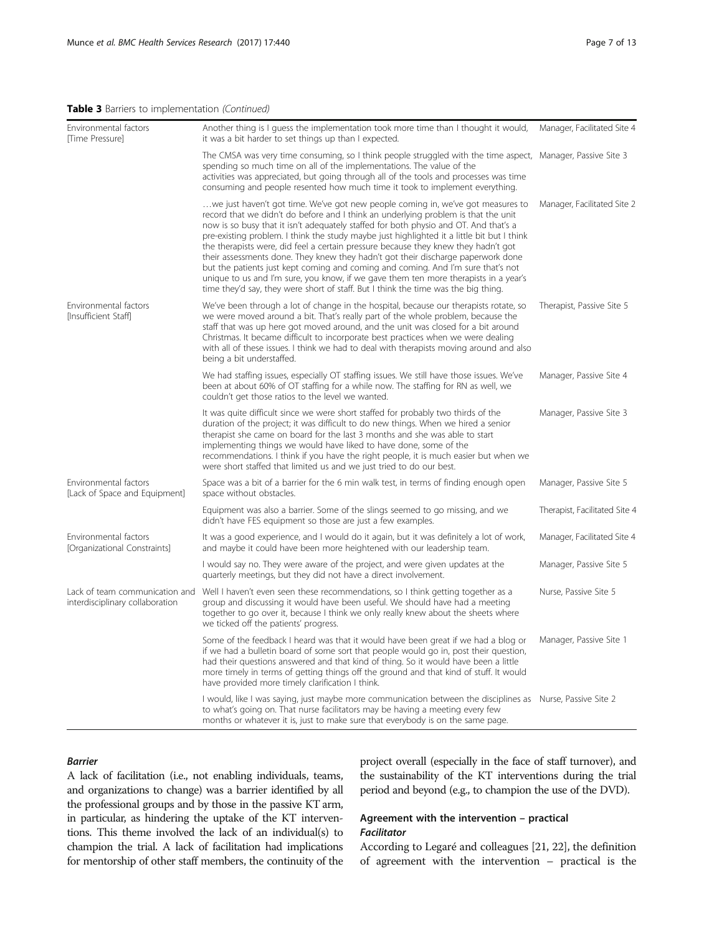### Table 3 Barriers to implementation (Continued)

| Environmental factors<br>Time Pressure]                           | Another thing is I guess the implementation took more time than I thought it would,<br>it was a bit harder to set things up than I expected.                                                                                                                                                                                                                                                                                                                                                                                                                                                                                                                                                                                                                                                            | Manager, Facilitated Site 4   |
|-------------------------------------------------------------------|---------------------------------------------------------------------------------------------------------------------------------------------------------------------------------------------------------------------------------------------------------------------------------------------------------------------------------------------------------------------------------------------------------------------------------------------------------------------------------------------------------------------------------------------------------------------------------------------------------------------------------------------------------------------------------------------------------------------------------------------------------------------------------------------------------|-------------------------------|
|                                                                   | The CMSA was very time consuming, so I think people struggled with the time aspect, Manager, Passive Site 3<br>spending so much time on all of the implementations. The value of the<br>activities was appreciated, but going through all of the tools and processes was time<br>consuming and people resented how much time it took to implement everything.                                                                                                                                                                                                                                                                                                                                                                                                                                           |                               |
|                                                                   | we just haven't got time. We've got new people coming in, we've got measures to<br>record that we didn't do before and I think an underlying problem is that the unit<br>now is so busy that it isn't adequately staffed for both physio and OT. And that's a<br>pre-existing problem. I think the study maybe just highlighted it a little bit but I think<br>the therapists were, did feel a certain pressure because they knew they hadn't got<br>their assessments done. They knew they hadn't got their discharge paperwork done<br>but the patients just kept coming and coming and coming. And I'm sure that's not<br>unique to us and I'm sure, you know, if we gave them ten more therapists in a year's<br>time they'd say, they were short of staff. But I think the time was the big thing. | Manager, Facilitated Site 2   |
| Environmental factors<br>[Insufficient Staff]                     | We've been through a lot of change in the hospital, because our therapists rotate, so<br>we were moved around a bit. That's really part of the whole problem, because the<br>staff that was up here got moved around, and the unit was closed for a bit around<br>Christmas. It became difficult to incorporate best practices when we were dealing<br>with all of these issues. I think we had to deal with therapists moving around and also<br>being a bit understaffed.                                                                                                                                                                                                                                                                                                                             | Therapist, Passive Site 5     |
|                                                                   | We had staffing issues, especially OT staffing issues. We still have those issues. We've<br>been at about 60% of OT staffing for a while now. The staffing for RN as well, we<br>couldn't get those ratios to the level we wanted.                                                                                                                                                                                                                                                                                                                                                                                                                                                                                                                                                                      | Manager, Passive Site 4       |
|                                                                   | It was quite difficult since we were short staffed for probably two thirds of the<br>duration of the project; it was difficult to do new things. When we hired a senior<br>therapist she came on board for the last 3 months and she was able to start<br>implementing things we would have liked to have done, some of the<br>recommendations. I think if you have the right people, it is much easier but when we<br>were short staffed that limited us and we just tried to do our best.                                                                                                                                                                                                                                                                                                             | Manager, Passive Site 3       |
| Environmental factors<br>[Lack of Space and Equipment]            | Space was a bit of a barrier for the 6 min walk test, in terms of finding enough open<br>space without obstacles.                                                                                                                                                                                                                                                                                                                                                                                                                                                                                                                                                                                                                                                                                       | Manager, Passive Site 5       |
|                                                                   | Equipment was also a barrier. Some of the slings seemed to go missing, and we<br>didn't have FES equipment so those are just a few examples.                                                                                                                                                                                                                                                                                                                                                                                                                                                                                                                                                                                                                                                            | Therapist, Facilitated Site 4 |
| Environmental factors<br>[Organizational Constraints]             | It was a good experience, and I would do it again, but it was definitely a lot of work,<br>and maybe it could have been more heightened with our leadership team.                                                                                                                                                                                                                                                                                                                                                                                                                                                                                                                                                                                                                                       | Manager, Facilitated Site 4   |
|                                                                   | I would say no. They were aware of the project, and were given updates at the<br>quarterly meetings, but they did not have a direct involvement.                                                                                                                                                                                                                                                                                                                                                                                                                                                                                                                                                                                                                                                        | Manager, Passive Site 5       |
| Lack of team communication and<br>interdisciplinary collaboration | Well I haven't even seen these recommendations, so I think getting together as a<br>group and discussing it would have been useful. We should have had a meeting<br>together to go over it, because I think we only really knew about the sheets where<br>we ticked off the patients' progress.                                                                                                                                                                                                                                                                                                                                                                                                                                                                                                         | Nurse, Passive Site 5         |
|                                                                   | Some of the feedback I heard was that it would have been great if we had a blog or<br>if we had a bulletin board of some sort that people would go in, post their question,<br>had their questions answered and that kind of thing. So it would have been a little<br>more timely in terms of getting things off the ground and that kind of stuff. It would<br>have provided more timely clarification I think.                                                                                                                                                                                                                                                                                                                                                                                        | Manager, Passive Site 1       |
|                                                                   | I would, like I was saying, just maybe more communication between the disciplines as Nurse, Passive Site 2<br>to what's going on. That nurse facilitators may be having a meeting every few<br>months or whatever it is, just to make sure that everybody is on the same page.                                                                                                                                                                                                                                                                                                                                                                                                                                                                                                                          |                               |

## Barrier

A lack of facilitation (i.e., not enabling individuals, teams, and organizations to change) was a barrier identified by all the professional groups and by those in the passive KT arm, in particular, as hindering the uptake of the KT interventions. This theme involved the lack of an individual(s) to champion the trial. A lack of facilitation had implications for mentorship of other staff members, the continuity of the project overall (especially in the face of staff turnover), and the sustainability of the KT interventions during the trial period and beyond (e.g., to champion the use of the DVD).

## Agreement with the intervention – practical Facilitator

According to Legaré and colleagues [[21, 22\]](#page-11-0), the definition of agreement with the intervention – practical is the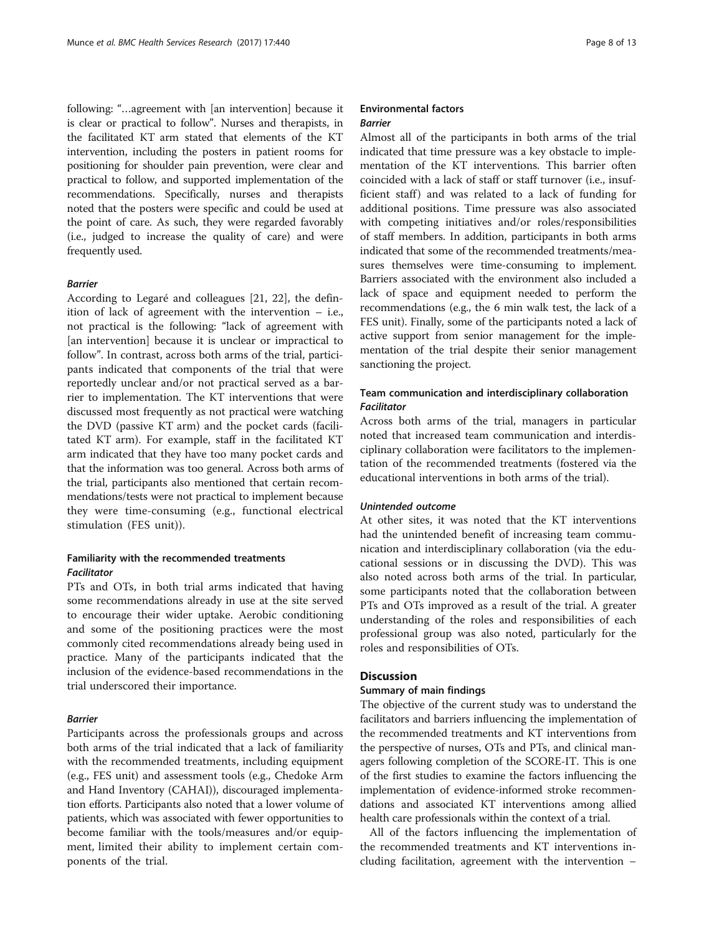following: "…agreement with [an intervention] because it is clear or practical to follow". Nurses and therapists, in the facilitated KT arm stated that elements of the KT intervention, including the posters in patient rooms for positioning for shoulder pain prevention, were clear and practical to follow, and supported implementation of the recommendations. Specifically, nurses and therapists noted that the posters were specific and could be used at the point of care. As such, they were regarded favorably (i.e., judged to increase the quality of care) and were frequently used.

## Barrier

According to Legaré and colleagues [\[21](#page-11-0), [22](#page-11-0)], the definition of lack of agreement with the intervention – i.e., not practical is the following: "lack of agreement with [an intervention] because it is unclear or impractical to follow". In contrast, across both arms of the trial, participants indicated that components of the trial that were reportedly unclear and/or not practical served as a barrier to implementation. The KT interventions that were discussed most frequently as not practical were watching the DVD (passive KT arm) and the pocket cards (facilitated KT arm). For example, staff in the facilitated KT arm indicated that they have too many pocket cards and that the information was too general. Across both arms of the trial, participants also mentioned that certain recommendations/tests were not practical to implement because they were time-consuming (e.g., functional electrical stimulation (FES unit)).

## Familiarity with the recommended treatments Facilitator

PTs and OTs, in both trial arms indicated that having some recommendations already in use at the site served to encourage their wider uptake. Aerobic conditioning and some of the positioning practices were the most commonly cited recommendations already being used in practice. Many of the participants indicated that the inclusion of the evidence-based recommendations in the trial underscored their importance.

#### Barrier

Participants across the professionals groups and across both arms of the trial indicated that a lack of familiarity with the recommended treatments, including equipment (e.g., FES unit) and assessment tools (e.g., Chedoke Arm and Hand Inventory (CAHAI)), discouraged implementation efforts. Participants also noted that a lower volume of patients, which was associated with fewer opportunities to become familiar with the tools/measures and/or equipment, limited their ability to implement certain components of the trial.

### Environmental factors Barrier

Almost all of the participants in both arms of the trial indicated that time pressure was a key obstacle to implementation of the KT interventions. This barrier often coincided with a lack of staff or staff turnover (i.e., insufficient staff) and was related to a lack of funding for additional positions. Time pressure was also associated with competing initiatives and/or roles/responsibilities of staff members. In addition, participants in both arms indicated that some of the recommended treatments/measures themselves were time-consuming to implement. Barriers associated with the environment also included a lack of space and equipment needed to perform the recommendations (e.g., the 6 min walk test, the lack of a FES unit). Finally, some of the participants noted a lack of active support from senior management for the implementation of the trial despite their senior management sanctioning the project.

## Team communication and interdisciplinary collaboration Facilitator

Across both arms of the trial, managers in particular noted that increased team communication and interdisciplinary collaboration were facilitators to the implementation of the recommended treatments (fostered via the educational interventions in both arms of the trial).

### Unintended outcome

At other sites, it was noted that the KT interventions had the unintended benefit of increasing team communication and interdisciplinary collaboration (via the educational sessions or in discussing the DVD). This was also noted across both arms of the trial. In particular, some participants noted that the collaboration between PTs and OTs improved as a result of the trial. A greater understanding of the roles and responsibilities of each professional group was also noted, particularly for the roles and responsibilities of OTs.

## **Discussion**

#### Summary of main findings

The objective of the current study was to understand the facilitators and barriers influencing the implementation of the recommended treatments and KT interventions from the perspective of nurses, OTs and PTs, and clinical managers following completion of the SCORE-IT. This is one of the first studies to examine the factors influencing the implementation of evidence-informed stroke recommendations and associated KT interventions among allied health care professionals within the context of a trial.

All of the factors influencing the implementation of the recommended treatments and KT interventions including facilitation, agreement with the intervention –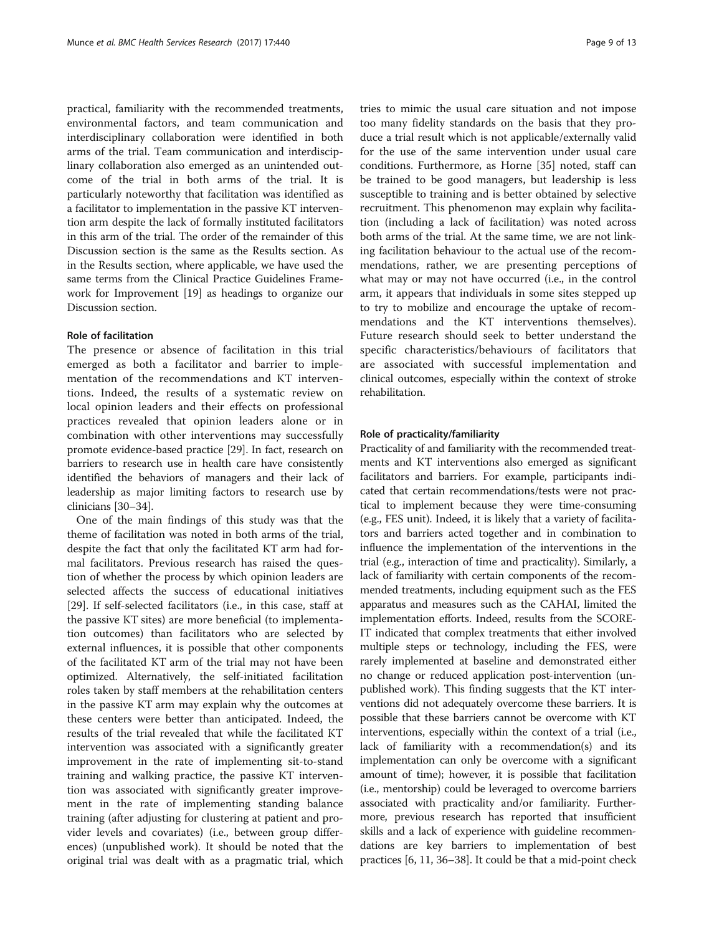practical, familiarity with the recommended treatments, environmental factors, and team communication and interdisciplinary collaboration were identified in both arms of the trial. Team communication and interdisciplinary collaboration also emerged as an unintended outcome of the trial in both arms of the trial. It is particularly noteworthy that facilitation was identified as a facilitator to implementation in the passive KT intervention arm despite the lack of formally instituted facilitators in this arm of the trial. The order of the remainder of this Discussion section is the same as the Results section. As in the Results section, where applicable, we have used the same terms from the Clinical Practice Guidelines Framework for Improvement [\[19\]](#page-11-0) as headings to organize our Discussion section.

#### Role of facilitation

The presence or absence of facilitation in this trial emerged as both a facilitator and barrier to implementation of the recommendations and KT interventions. Indeed, the results of a systematic review on local opinion leaders and their effects on professional practices revealed that opinion leaders alone or in combination with other interventions may successfully promote evidence-based practice [\[29\]](#page-11-0). In fact, research on barriers to research use in health care have consistently identified the behaviors of managers and their lack of leadership as major limiting factors to research use by clinicians [[30](#page-11-0)–[34\]](#page-12-0).

One of the main findings of this study was that the theme of facilitation was noted in both arms of the trial, despite the fact that only the facilitated KT arm had formal facilitators. Previous research has raised the question of whether the process by which opinion leaders are selected affects the success of educational initiatives [[29\]](#page-11-0). If self-selected facilitators (i.e., in this case, staff at the passive KT sites) are more beneficial (to implementation outcomes) than facilitators who are selected by external influences, it is possible that other components of the facilitated KT arm of the trial may not have been optimized. Alternatively, the self-initiated facilitation roles taken by staff members at the rehabilitation centers in the passive KT arm may explain why the outcomes at these centers were better than anticipated. Indeed, the results of the trial revealed that while the facilitated KT intervention was associated with a significantly greater improvement in the rate of implementing sit-to-stand training and walking practice, the passive KT intervention was associated with significantly greater improvement in the rate of implementing standing balance training (after adjusting for clustering at patient and provider levels and covariates) (i.e., between group differences) (unpublished work). It should be noted that the original trial was dealt with as a pragmatic trial, which

tries to mimic the usual care situation and not impose too many fidelity standards on the basis that they produce a trial result which is not applicable/externally valid for the use of the same intervention under usual care conditions. Furthermore, as Horne [\[35\]](#page-12-0) noted, staff can be trained to be good managers, but leadership is less susceptible to training and is better obtained by selective recruitment. This phenomenon may explain why facilitation (including a lack of facilitation) was noted across both arms of the trial. At the same time, we are not linking facilitation behaviour to the actual use of the recommendations, rather, we are presenting perceptions of what may or may not have occurred (i.e., in the control arm, it appears that individuals in some sites stepped up to try to mobilize and encourage the uptake of recommendations and the KT interventions themselves). Future research should seek to better understand the specific characteristics/behaviours of facilitators that are associated with successful implementation and clinical outcomes, especially within the context of stroke rehabilitation.

#### Role of practicality/familiarity

Practicality of and familiarity with the recommended treatments and KT interventions also emerged as significant facilitators and barriers. For example, participants indicated that certain recommendations/tests were not practical to implement because they were time-consuming (e.g., FES unit). Indeed, it is likely that a variety of facilitators and barriers acted together and in combination to influence the implementation of the interventions in the trial (e.g., interaction of time and practicality). Similarly, a lack of familiarity with certain components of the recommended treatments, including equipment such as the FES apparatus and measures such as the CAHAI, limited the implementation efforts. Indeed, results from the SCORE-IT indicated that complex treatments that either involved multiple steps or technology, including the FES, were rarely implemented at baseline and demonstrated either no change or reduced application post-intervention (unpublished work). This finding suggests that the KT interventions did not adequately overcome these barriers. It is possible that these barriers cannot be overcome with KT interventions, especially within the context of a trial (i.e., lack of familiarity with a recommendation(s) and its implementation can only be overcome with a significant amount of time); however, it is possible that facilitation (i.e., mentorship) could be leveraged to overcome barriers associated with practicality and/or familiarity. Furthermore, previous research has reported that insufficient skills and a lack of experience with guideline recommendations are key barriers to implementation of best practices [\[6](#page-11-0), [11,](#page-11-0) [36](#page-12-0)–[38](#page-12-0)]. It could be that a mid-point check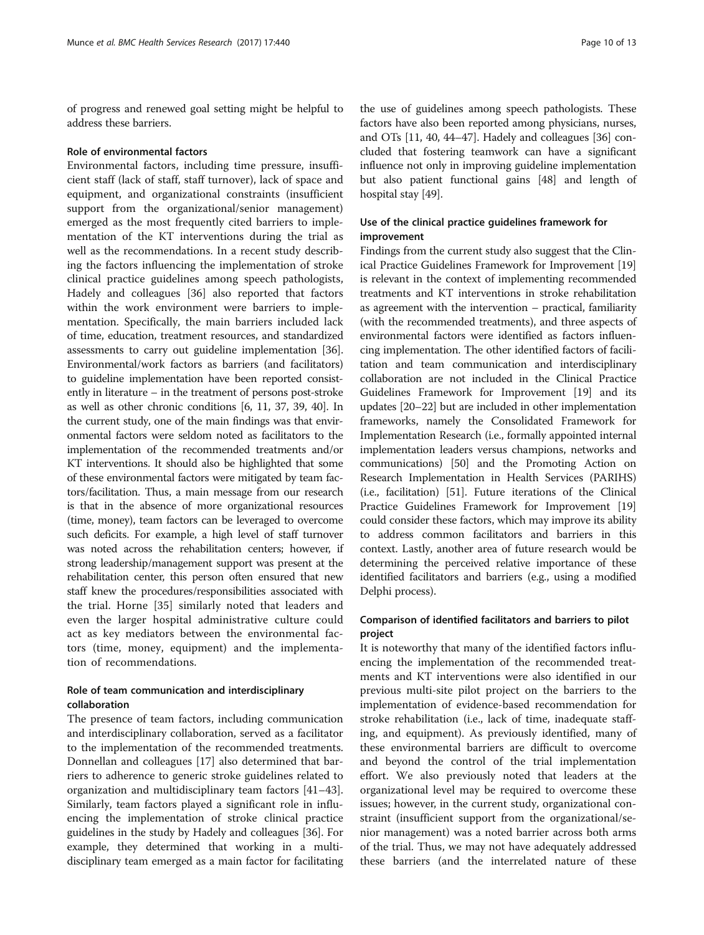of progress and renewed goal setting might be helpful to address these barriers.

#### Role of environmental factors

Environmental factors, including time pressure, insufficient staff (lack of staff, staff turnover), lack of space and equipment, and organizational constraints (insufficient support from the organizational/senior management) emerged as the most frequently cited barriers to implementation of the KT interventions during the trial as well as the recommendations. In a recent study describing the factors influencing the implementation of stroke clinical practice guidelines among speech pathologists, Hadely and colleagues [\[36](#page-12-0)] also reported that factors within the work environment were barriers to implementation. Specifically, the main barriers included lack of time, education, treatment resources, and standardized assessments to carry out guideline implementation [[36](#page-12-0)]. Environmental/work factors as barriers (and facilitators) to guideline implementation have been reported consistently in literature – in the treatment of persons post-stroke as well as other chronic conditions [[6, 11,](#page-11-0) [37](#page-12-0), [39, 40](#page-12-0)]. In the current study, one of the main findings was that environmental factors were seldom noted as facilitators to the implementation of the recommended treatments and/or KT interventions. It should also be highlighted that some of these environmental factors were mitigated by team factors/facilitation. Thus, a main message from our research is that in the absence of more organizational resources (time, money), team factors can be leveraged to overcome such deficits. For example, a high level of staff turnover was noted across the rehabilitation centers; however, if strong leadership/management support was present at the rehabilitation center, this person often ensured that new staff knew the procedures/responsibilities associated with the trial. Horne [\[35](#page-12-0)] similarly noted that leaders and even the larger hospital administrative culture could act as key mediators between the environmental factors (time, money, equipment) and the implementation of recommendations.

## Role of team communication and interdisciplinary collaboration

The presence of team factors, including communication and interdisciplinary collaboration, served as a facilitator to the implementation of the recommended treatments. Donnellan and colleagues [\[17\]](#page-11-0) also determined that barriers to adherence to generic stroke guidelines related to organization and multidisciplinary team factors [[41](#page-12-0)–[43](#page-12-0)]. Similarly, team factors played a significant role in influencing the implementation of stroke clinical practice guidelines in the study by Hadely and colleagues [\[36\]](#page-12-0). For example, they determined that working in a multidisciplinary team emerged as a main factor for facilitating

the use of guidelines among speech pathologists. These factors have also been reported among physicians, nurses, and OTs [[11](#page-11-0), [40](#page-12-0), [44](#page-12-0)–[47](#page-12-0)]. Hadely and colleagues [[36](#page-12-0)] concluded that fostering teamwork can have a significant influence not only in improving guideline implementation but also patient functional gains [\[48\]](#page-12-0) and length of hospital stay [[49\]](#page-12-0).

## Use of the clinical practice guidelines framework for improvement

Findings from the current study also suggest that the Clinical Practice Guidelines Framework for Improvement [[19](#page-11-0)] is relevant in the context of implementing recommended treatments and KT interventions in stroke rehabilitation as agreement with the intervention – practical, familiarity (with the recommended treatments), and three aspects of environmental factors were identified as factors influencing implementation. The other identified factors of facilitation and team communication and interdisciplinary collaboration are not included in the Clinical Practice Guidelines Framework for Improvement [\[19\]](#page-11-0) and its updates [\[20](#page-11-0)–[22\]](#page-11-0) but are included in other implementation frameworks, namely the Consolidated Framework for Implementation Research (i.e., formally appointed internal implementation leaders versus champions, networks and communications) [\[50](#page-12-0)] and the Promoting Action on Research Implementation in Health Services (PARIHS) (i.e., facilitation) [\[51](#page-12-0)]. Future iterations of the Clinical Practice Guidelines Framework for Improvement [[19](#page-11-0)] could consider these factors, which may improve its ability to address common facilitators and barriers in this context. Lastly, another area of future research would be determining the perceived relative importance of these identified facilitators and barriers (e.g., using a modified Delphi process).

## Comparison of identified facilitators and barriers to pilot project

It is noteworthy that many of the identified factors influencing the implementation of the recommended treatments and KT interventions were also identified in our previous multi-site pilot project on the barriers to the implementation of evidence-based recommendation for stroke rehabilitation (i.e., lack of time, inadequate staffing, and equipment). As previously identified, many of these environmental barriers are difficult to overcome and beyond the control of the trial implementation effort. We also previously noted that leaders at the organizational level may be required to overcome these issues; however, in the current study, organizational constraint (insufficient support from the organizational/senior management) was a noted barrier across both arms of the trial. Thus, we may not have adequately addressed these barriers (and the interrelated nature of these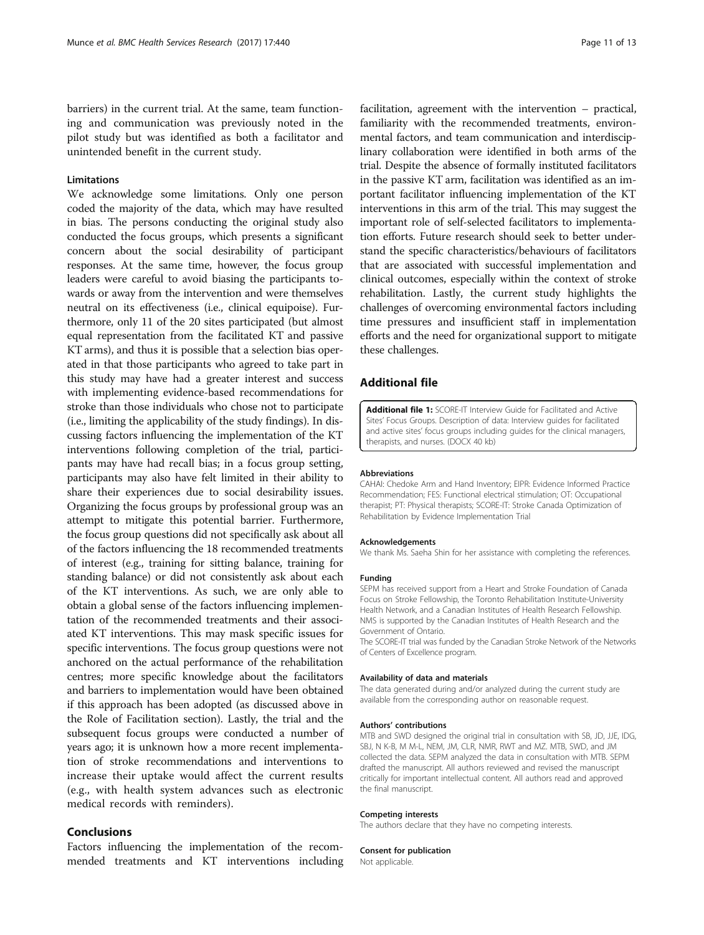<span id="page-10-0"></span>barriers) in the current trial. At the same, team functioning and communication was previously noted in the pilot study but was identified as both a facilitator and unintended benefit in the current study.

#### Limitations

We acknowledge some limitations. Only one person coded the majority of the data, which may have resulted in bias. The persons conducting the original study also conducted the focus groups, which presents a significant concern about the social desirability of participant responses. At the same time, however, the focus group leaders were careful to avoid biasing the participants towards or away from the intervention and were themselves neutral on its effectiveness (i.e., clinical equipoise). Furthermore, only 11 of the 20 sites participated (but almost equal representation from the facilitated KT and passive KT arms), and thus it is possible that a selection bias operated in that those participants who agreed to take part in this study may have had a greater interest and success with implementing evidence-based recommendations for stroke than those individuals who chose not to participate (i.e., limiting the applicability of the study findings). In discussing factors influencing the implementation of the KT interventions following completion of the trial, participants may have had recall bias; in a focus group setting, participants may also have felt limited in their ability to share their experiences due to social desirability issues. Organizing the focus groups by professional group was an attempt to mitigate this potential barrier. Furthermore, the focus group questions did not specifically ask about all of the factors influencing the 18 recommended treatments of interest (e.g., training for sitting balance, training for standing balance) or did not consistently ask about each of the KT interventions. As such, we are only able to obtain a global sense of the factors influencing implementation of the recommended treatments and their associated KT interventions. This may mask specific issues for specific interventions. The focus group questions were not anchored on the actual performance of the rehabilitation centres; more specific knowledge about the facilitators and barriers to implementation would have been obtained if this approach has been adopted (as discussed above in the Role of Facilitation section). Lastly, the trial and the subsequent focus groups were conducted a number of years ago; it is unknown how a more recent implementation of stroke recommendations and interventions to increase their uptake would affect the current results (e.g., with health system advances such as electronic medical records with reminders).

#### Conclusions

Factors influencing the implementation of the recommended treatments and KT interventions including

facilitation, agreement with the intervention – practical, familiarity with the recommended treatments, environmental factors, and team communication and interdisciplinary collaboration were identified in both arms of the trial. Despite the absence of formally instituted facilitators in the passive KT arm, facilitation was identified as an important facilitator influencing implementation of the KT interventions in this arm of the trial. This may suggest the important role of self-selected facilitators to implementation efforts. Future research should seek to better understand the specific characteristics/behaviours of facilitators that are associated with successful implementation and clinical outcomes, especially within the context of stroke rehabilitation. Lastly, the current study highlights the challenges of overcoming environmental factors including time pressures and insufficient staff in implementation efforts and the need for organizational support to mitigate these challenges.

## Additional file

[Additional file 1:](dx.doi.org/10.1186/s12913-017-2389-7) SCORE-IT Interview Guide for Facilitated and Active Sites' Focus Groups. Description of data: Interview guides for facilitated and active sites' focus groups including guides for the clinical managers, therapists, and nurses. (DOCX 40 kb)

#### Abbreviations

CAHAI: Chedoke Arm and Hand Inventory; EIPR: Evidence Informed Practice Recommendation; FES: Functional electrical stimulation; OT: Occupational therapist; PT: Physical therapists; SCORE-IT: Stroke Canada Optimization of Rehabilitation by Evidence Implementation Trial

#### Acknowledgements

We thank Ms. Saeha Shin for her assistance with completing the references.

#### Funding

SEPM has received support from a Heart and Stroke Foundation of Canada Focus on Stroke Fellowship, the Toronto Rehabilitation Institute-University Health Network, and a Canadian Institutes of Health Research Fellowship. NMS is supported by the Canadian Institutes of Health Research and the Government of Ontario.

The SCORE-IT trial was funded by the Canadian Stroke Network of the Networks of Centers of Excellence program.

#### Availability of data and materials

The data generated during and/or analyzed during the current study are available from the corresponding author on reasonable request.

#### Authors' contributions

MTB and SWD designed the original trial in consultation with SB, JD, JJE, IDG, SBJ, N K-B, M M-L, NEM, JM, CLR, NMR, RWT and MZ. MTB, SWD, and JM collected the data. SEPM analyzed the data in consultation with MTB. SEPM drafted the manuscript. All authors reviewed and revised the manuscript critically for important intellectual content. All authors read and approved the final manuscript.

#### Competing interests

The authors declare that they have no competing interests.

#### Consent for publication

Not applicable.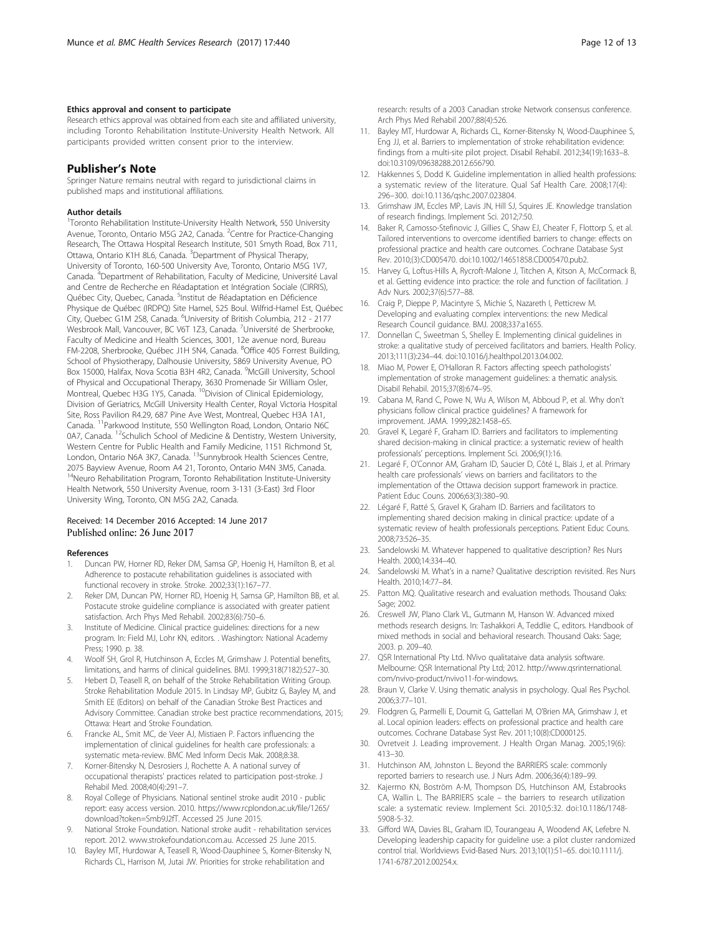#### <span id="page-11-0"></span>Ethics approval and consent to participate

Research ethics approval was obtained from each site and affiliated university, including Toronto Rehabilitation Institute-University Health Network. All participants provided written consent prior to the interview.

## Publisher's Note

Springer Nature remains neutral with regard to jurisdictional claims in published maps and institutional affiliations.

#### Author details

<sup>1</sup>Toronto Rehabilitation Institute-University Health Network, 550 University Avenue, Toronto, Ontario M5G 2A2, Canada. <sup>2</sup>Centre for Practice-Changing Research, The Ottawa Hospital Research Institute, 501 Smyth Road, Box 711, Ottawa, Ontario K1H 8L6, Canada. <sup>3</sup>Department of Physical Therapy, University of Toronto, 160-500 University Ave, Toronto, Ontario M5G 1V7, Canada. <sup>4</sup>Department of Rehabilitation, Faculty of Medicine, Université Laval and Centre de Recherche en Réadaptation et Intégration Sociale (CIRRIS), Québec City, Quebec, Canada. <sup>5</sup>Institut de Réadaptation en Déficience Physique de Québec (IRDPQ) Site Hamel, 525 Boul. Wilfrid-Hamel Est, Québec City, Quebec G1M 2S8, Canada. <sup>6</sup>University of British Columbia, 212 - 2177 Wesbrook Mall, Vancouver, BC V6T 1Z3, Canada. <sup>7</sup>Université de Sherbrooke, Faculty of Medicine and Health Sciences, 3001, 12e avenue nord, Bureau FM-2208, Sherbrooke, Québec J1H 5N4, Canada. <sup>8</sup>Office 405 Forrest Building, School of Physiotherapy, Dalhousie University, 5869 University Avenue, PO Box 15000, Halifax, Nova Scotia B3H 4R2, Canada. <sup>9</sup>McGill University, School of Physical and Occupational Therapy, 3630 Promenade Sir William Osler, Montreal, Quebec H3G 1Y5, Canada. <sup>10</sup>Division of Clinical Epidemiology, Division of Geriatrics, McGill University Health Center, Royal Victoria Hospital Site, Ross Pavilion R4.29, 687 Pine Ave West, Montreal, Quebec H3A 1A1, Canada. 11Parkwood Institute, 550 Wellington Road, London, Ontario N6C 0A7, Canada. <sup>12</sup>Schulich School of Medicine & Dentistry, Western University, Western Centre for Public Health and Family Medicine, 1151 Richmond St, London, Ontario N6A 3K7, Canada. 13Sunnybrook Health Sciences Centre, 2075 Bayview Avenue, Room A4 21, Toronto, Ontario M4N 3M5, Canada. <sup>14</sup>Neuro Rehabilitation Program, Toronto Rehabilitation Institute-University Health Network, 550 University Avenue, room 3-131 (3-East) 3rd Floor University Wing, Toronto, ON M5G 2A2, Canada.

#### Received: 14 December 2016 Accepted: 14 June 2017 Published online: 26 June 2017

#### References

- 1. Duncan PW, Horner RD, Reker DM, Samsa GP, Hoenig H, Hamilton B, et al. Adherence to postacute rehabilitation guidelines is associated with functional recovery in stroke. Stroke. 2002;33(1):167–77.
- Reker DM, Duncan PW, Horner RD, Hoenig H, Samsa GP, Hamilton BB, et al. Postacute stroke guideline compliance is associated with greater patient satisfaction. Arch Phys Med Rehabil. 2002;83(6):750–6.
- 3. Institute of Medicine. Clinical practice guidelines: directions for a new program. In: Field MJ, Lohr KN, editors. . Washington: National Academy Press; 1990. p. 38.
- 4. Woolf SH, Grol R, Hutchinson A, Eccles M, Grimshaw J. Potential benefits, limitations, and harms of clinical guidelines. BMJ. 1999;318(7182):527–30.
- 5. Hebert D, Teasell R, on behalf of the Stroke Rehabilitation Writing Group. Stroke Rehabilitation Module 2015. In Lindsay MP, Gubitz G, Bayley M, and Smith EE (Editors) on behalf of the Canadian Stroke Best Practices and Advisory Committee. Canadian stroke best practice recommendations, 2015; Ottawa: Heart and Stroke Foundation.
- Francke AL, Smit MC, de Veer AJ, Mistiaen P. Factors influencing the implementation of clinical guidelines for health care professionals: a systematic meta-review. BMC Med Inform Decis Mak. 2008;8:38.
- 7. Korner-Bitensky N, Desrosiers J, Rochette A. A national survey of occupational therapists' practices related to participation post-stroke. J Rehabil Med. 2008;40(4):291–7.
- 8. Royal College of Physicians. National sentinel stroke audit 2010 public report: easy access version. 2010. [https://www.rcplondon.ac.uk/file/1265/](https://www.rcplondon.ac.uk/file/1265/download?token=Smb9J2fT) [download?token=Smb9J2fT.](https://www.rcplondon.ac.uk/file/1265/download?token=Smb9J2fT) Accessed 25 June 2015.
- 9. National Stroke Foundation. National stroke audit rehabilitation services report. 2012. [www.strokefoundation.com.au](https://www.strokefoundation.com.au). Accessed 25 June 2015.
- 10. Bayley MT, Hurdowar A, Teasell R, Wood-Dauphinee S, Korner-Bitensky N, Richards CL, Harrison M, Jutai JW. Priorities for stroke rehabilitation and
- 11. Bayley MT, Hurdowar A, Richards CL, Korner-Bitensky N, Wood-Dauphinee S, Eng JJ, et al. Barriers to implementation of stroke rehabilitation evidence: findings from a multi-site pilot project. Disabil Rehabil. 2012;34(19):1633–8. doi[:10.3109/09638288.2012.656790.](http://dx.doi.org/10.3109/09638288.2012.656790)
- 12. Hakkennes S, Dodd K. Guideline implementation in allied health professions: a systematic review of the literature. Qual Saf Health Care. 2008;17(4): 296–300. doi[:10.1136/qshc.2007.023804](http://dx.doi.org/10.1136/qshc.2007.023804).
- 13. Grimshaw JM, Eccles MP, Lavis JN, Hill SJ, Squires JE. Knowledge translation of research findings. Implement Sci. 2012;7:50.
- 14. Baker R, Camosso-Stefinovic J, Gillies C, Shaw EJ, Cheater F, Flottorp S, et al. Tailored interventions to overcome identified barriers to change: effects on professional practice and health care outcomes. Cochrane Database Syst Rev. 2010;(3):CD005470. doi[:10.1002/14651858.CD005470.pub2.](http://dx.doi.org/10.1002/14651858.CD005470.pub2)
- 15. Harvey G, Loftus-Hills A, Rycroft-Malone J, Titchen A, Kitson A, McCormack B, et al. Getting evidence into practice: the role and function of facilitation. J Adv Nurs. 2002;37(6):577–88.
- 16. Craig P, Dieppe P, Macintyre S, Michie S, Nazareth I, Petticrew M. Developing and evaluating complex interventions: the new Medical Research Council guidance. BMJ. 2008;337:a1655.
- 17. Donnellan C, Sweetman S, Shelley E. Implementing clinical guidelines in stroke: a qualitative study of perceived facilitators and barriers. Health Policy. 2013;111(3):234–44. doi[:10.1016/j.healthpol.2013.04.002](http://dx.doi.org/10.1016/j.healthpol.2013.04.002).
- 18. Miao M, Power E, O'Halloran R. Factors affecting speech pathologists' implementation of stroke management guidelines: a thematic analysis. Disabil Rehabil. 2015;37(8):674–95.
- 19. Cabana M, Rand C, Powe N, Wu A, Wilson M, Abboud P, et al. Why don't physicians follow clinical practice guidelines? A framework for improvement. JAMA. 1999;282:1458–65.
- 20. Gravel K, Legaré F, Graham ID. Barriers and facilitators to implementing shared decision-making in clinical practice: a systematic review of health professionals' perceptions. Implement Sci. 2006;9(1):16.
- 21. Legaré F, O'Connor AM, Graham ID, Saucier D, Côté L, Blais J, et al. Primary health care professionals' views on barriers and facilitators to the implementation of the Ottawa decision support framework in practice. Patient Educ Couns. 2006;63(3):380–90.
- 22. Légaré F, Ratté S, Gravel K, Graham ID. Barriers and facilitators to implementing shared decision making in clinical practice: update of a systematic review of health professionals perceptions. Patient Educ Couns. 2008;73:526–35.
- 23. Sandelowski M. Whatever happened to qualitative description? Res Nurs Health. 2000;14:334–40.
- 24. Sandelowski M. What's in a name? Qualitative description revisited. Res Nurs Health. 2010;14:77–84.
- 25. Patton MQ. Qualitative research and evaluation methods. Thousand Oaks: Sage: 2002
- 26. Creswell JW, Plano Clark VL, Gutmann M, Hanson W. Advanced mixed methods research designs. In: Tashakkori A, Teddlie C, editors. Handbook of mixed methods in social and behavioral research. Thousand Oaks: Sage; 2003. p. 209–40.
- 27. QSR International Pty Ltd. NVivo qualitataive data analysis software. Melbourne: QSR International Pty Ltd; 2012. [http://www.qsrinternational.](http://www.qsrinternational.com/nvivo-product/nvivo11-for-windows) [com/nvivo-product/nvivo11-for-windows](http://www.qsrinternational.com/nvivo-product/nvivo11-for-windows).
- 28. Braun V, Clarke V. Using thematic analysis in psychology. Qual Res Psychol. 2006;3:77–101.
- 29. Flodgren G, Parmelli E, Doumit G, Gattellari M, O'Brien MA, Grimshaw J, et al. Local opinion leaders: effects on professional practice and health care outcomes. Cochrane Database Syst Rev. 2011;10(8):CD000125.
- 30. Ovretveit J. Leading improvement. J Health Organ Manag. 2005;19(6): 413–30.
- 31. Hutchinson AM, Johnston L. Beyond the BARRIERS scale: commonly reported barriers to research use. J Nurs Adm. 2006;36(4):189–99.
- 32. Kajermo KN, Boström A-M, Thompson DS, Hutchinson AM, Estabrooks CA, Wallin L. The BARRIERS scale – the barriers to research utilization scale: a systematic review. Implement Sci. 2010;5:32. doi:[10.1186/1748-](http://dx.doi.org/10.1186/1748-5908-5-32) [5908-5-32.](http://dx.doi.org/10.1186/1748-5908-5-32)
- 33. Gifford WA, Davies BL, Graham ID, Tourangeau A, Woodend AK, Lefebre N. Developing leadership capacity for guideline use: a pilot cluster randomized control trial. Worldviews Evid-Based Nurs. 2013;10(1):51–65. doi[:10.1111/j.](http://dx.doi.org/10.1111/j.1741-6787.2012.00254.x) [1741-6787.2012.00254.x](http://dx.doi.org/10.1111/j.1741-6787.2012.00254.x).